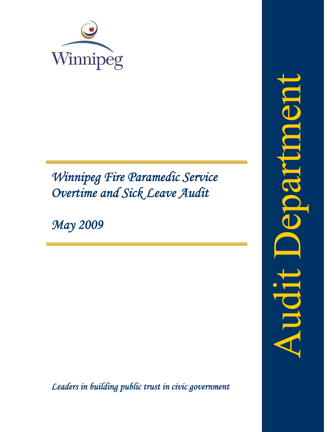

# *Winnipeg Fire Paramedic Service Overtime and Sick Leave Audit*

*May 2009*

*Leaders in building public trust in civic government*

TET **MLJSK**  $\overline{\mathbf{D}}$ IDOL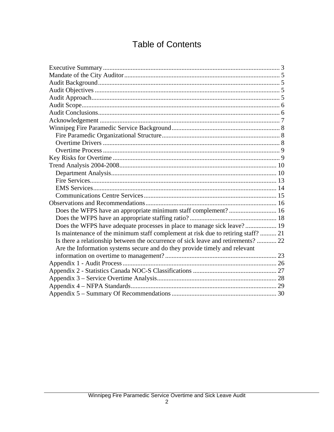## **Table of Contents**

| Does the WFPS have adequate processes in place to manage sick leave? 19           |  |
|-----------------------------------------------------------------------------------|--|
| Is maintenance of the minimum staff complement at risk due to retiring staff?  21 |  |
| Is there a relationship between the occurrence of sick leave and retirements?  22 |  |
| Are the Information systems secure and do they provide timely and relevant        |  |
|                                                                                   |  |
|                                                                                   |  |
|                                                                                   |  |
|                                                                                   |  |
|                                                                                   |  |
|                                                                                   |  |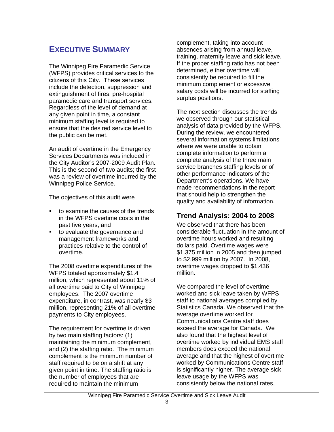## **EXECUTIVE SUMMARY**

The Winnipeg Fire Paramedic Service (WFPS) provides critical services to the citizens of this City. These services include the detection, suppression and extinguishment of fires, pre-hospital paramedic care and transport services. Regardless of the level of demand at any given point in time, a constant minimum staffing level is required to ensure that the desired service level to the public can be met.

An audit of overtime in the Emergency Services Departments was included in the City Auditor's 2007-2009 Audit Plan. This is the second of two audits; the first was a review of overtime incurred by the Winnipeg Police Service.

The objectives of this audit were

- $\blacksquare$  to examine the causes of the trends in the WFPS overtime costs in the past five years, and
- **to evaluate the governance and** management frameworks and practices relative to the control of overtime.

The 2008 overtime expenditures of the WFPS totaled approximately \$1.4 million, which represented about 11% of all overtime paid to City of Winnipeg employees. The 2007 overtime expenditure, in contrast, was nearly \$3 million, representing 21% of all overtime payments to City employees.

The requirement for overtime is driven by two main staffing factors: (1) maintaining the minimum complement, and (2) the staffing ratio. The minimum complement is the minimum number of staff required to be on a shift at any given point in time. The staffing ratio is the number of employees that are required to maintain the minimum

complement, taking into account absences arising from annual leave, training, maternity leave and sick leave. If the proper staffing ratio has not been determined, either overtime will consistently be required to fill the minimum complement or excessive salary costs will be incurred for staffing surplus positions.

The next section discusses the trends we observed through our statistical analysis of data provided by the WFPS. During the review, we encountered several information systems limitations where we were unable to obtain complete information to perform a complete analysis of the three main service branches staffing levels or of other performance indicators of the Department's operations. We have made recommendations in the report that should help to strengthen the quality and availability of information.

## **Trend Analysis: 2004 to 2008**

We observed that there has been considerable fluctuation in the amount of overtime hours worked and resulting dollars paid. Overtime wages were \$1.375 million in 2005 and then jumped to \$2.999 million by 2007. In 2008, overtime wages dropped to \$1.436 million.

We compared the level of overtime worked and sick leave taken by WFPS staff to national averages compiled by Statistics Canada. We observed that the average overtime worked for Communications Centre staff does exceed the average for Canada. We also found that the highest level of overtime worked by individual EMS staff members does exceed the national average and that the highest of overtime worked by Communications Centre staff is significantly higher. The average sick leave usage by the WFPS was consistently below the national rates,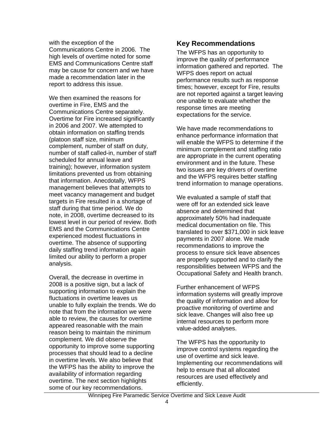with the exception of the Communications Centre in 2006. The high levels of overtime noted for some EMS and Communications Centre staff may be cause for concern and we have made a recommendation later in the report to address this issue.

We then examined the reasons for overtime in Fire, EMS and the Communications Centre separately. Overtime for Fire increased significantly in 2006 and 2007. We attempted to obtain information on staffing trends (platoon staff size, minimum complement, number of staff on duty, number of staff called-in, number of staff scheduled for annual leave and training); however, information system limitations prevented us from obtaining that information. Anecdotally, WFPS management believes that attempts to meet vacancy management and budget targets in Fire resulted in a shortage of staff during that time period. We do note, in 2008, overtime decreased to its lowest level in our period of review. Both EMS and the Communications Centre experienced modest fluctuations in overtime. The absence of supporting daily staffing trend information again limited our ability to perform a proper analysis.

Overall, the decrease in overtime in 2008 is a positive sign, but a lack of supporting information to explain the fluctuations in overtime leaves us unable to fully explain the trends. We do note that from the information we were able to review, the causes for overtime appeared reasonable with the main reason being to maintain the minimum complement. We did observe the opportunity to improve some supporting processes that should lead to a decline in overtime levels. We also believe that the WFPS has the ability to improve the availability of information regarding overtime. The next section highlights some of our key recommendations.

### **Key Recommendations**

The WFPS has an opportunity to improve the quality of performance information gathered and reported. The WFPS does report on actual performance results such as response times; however, except for Fire, results are not reported against a target leaving one unable to evaluate whether the response times are meeting expectations for the service.

We have made recommendations to enhance performance information that will enable the WFPS to determine if the minimum complement and staffing ratio are appropriate in the current operating environment and in the future. These two issues are key drivers of overtime and the WFPS requires better staffing trend information to manage operations.

We evaluated a sample of staff that were off for an extended sick leave absence and determined that approximately 50% had inadequate medical documentation on file. This translated to over \$371,000 in sick leave payments in 2007 alone. We made recommendations to improve the process to ensure sick leave absences are properly supported and to clarify the responsibilities between WFPS and the Occupational Safety and Health branch.

Further enhancement of WFPS information systems will greatly improve the quality of information and allow for proactive monitoring of overtime and sick leave. Changes will also free up internal resources to perform more value-added analyses.

The WFPS has the opportunity to improve control systems regarding the use of overtime and sick leave. Implementing our recommendations will help to ensure that all allocated resources are used effectively and efficiently.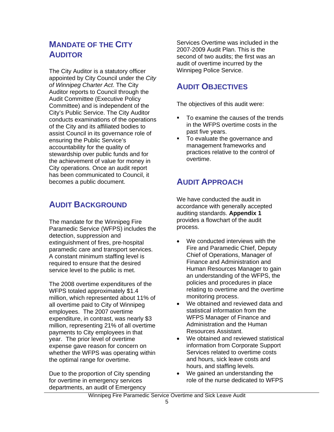## **MANDATE OF THE CITY AUDITOR**

The City Auditor is a statutory officer appointed by City Council under the *City of Winnipeg Charter Act*. The City Auditor reports to Council through the Audit Committee (Executive Policy Committee) and is independent of the City's Public Service. The City Auditor conducts examinations of the operations of the City and its affiliated bodies to assist Council in its governance role of ensuring the Public Service's accountability for the quality of stewardship over public funds and for the achievement of value for money in City operations. Once an audit report has been communicated to Council, it becomes a public document.

## **AUDIT BACKGROUND**

The mandate for the Winnipeg Fire Paramedic Service (WFPS) includes the detection, suppression and extinguishment of fires, pre-hospital paramedic care and transport services. A constant minimum staffing level is required to ensure that the desired service level to the public is met.

The 2008 overtime expenditures of the WFPS totaled approximately \$1.4 million, which represented about 11% of all overtime paid to City of Winnipeg employees. The 2007 overtime expenditure, in contrast, was nearly \$3 million, representing 21% of all overtime payments to City employees in that year. The prior level of overtime expense gave reason for concern on whether the WFPS was operating within the optimal range for overtime.

Due to the proportion of City spending for overtime in emergency services departments, an audit of Emergency

Services Overtime was included in the 2007-2009 Audit Plan. This is the second of two audits; the first was an audit of overtime incurred by the Winnipeg Police Service.

## **AUDIT OBJECTIVES**

The objectives of this audit were:

- To examine the causes of the trends in the WFPS overtime costs in the past five years.
- To evaluate the governance and management frameworks and practices relative to the control of overtime.

## **AUDIT APPROACH**

We have conducted the audit in accordance with generally accepted auditing standards. **Appendix 1** provides a flowchart of the audit process.

- We conducted interviews with the Fire and Paramedic Chief, Deputy Chief of Operations, Manager of Finance and Administration and Human Resources Manager to gain an understanding of the WFPS, the policies and procedures in place relating to overtime and the overtime monitoring process.
- We obtained and reviewed data and statistical information from the WFPS Manager of Finance and Administration and the Human Resources Assistant.
- We obtained and reviewed statistical information from Corporate Support Services related to overtime costs and hours, sick leave costs and hours, and staffing levels.
- We gained an understanding the role of the nurse dedicated to WFPS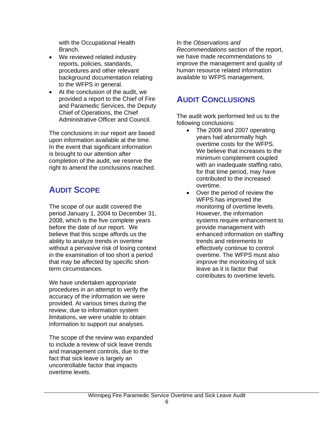with the Occupational Health Branch.

- We reviewed related industry reports, policies, standards, procedures and other relevant background documentation relating to the WFPS in general.
- At the conclusion of the audit, we provided a report to the Chief of Fire and Paramedic Services, the Deputy Chief of Operations, the Chief Administrative Officer and Council.

The conclusions in our report are based upon information available at the time. In the event that significant information is brought to our attention after completion of the audit, we reserve the right to amend the conclusions reached.

## **AUDIT SCOPE**

The scope of our audit covered the period January 1, 2004 to December 31, 2008, which is the five complete years before the date of our report. We believe that this scope affords us the ability to analyze trends in overtime without a pervasive risk of losing context in the examination of too short a period that may be affected by specific shortterm circumstances.

We have undertaken appropriate procedures in an attempt to verify the accuracy of the information we were provided. At various times during the review, due to information system limitations, we were unable to obtain information to support our analyses.

The scope of the review was expanded to include a review of sick leave trends and management controls, due to the fact that sick leave is largely an uncontrollable factor that impacts overtime levels.

In the *Observations and* 

*Recommendations* section of the report, we have made recommendations to improve the management and quality of human resource related information available to WFPS management.

## **AUDIT CONCLUSIONS**

The audit work performed led us to the following conclusions:

- The 2006 and 2007 operating years had abnormally high overtime costs for the WFPS. We believe that increases to the minimum complement coupled with an inadequate staffing ratio, for that time period, may have contributed to the increased overtime.
- Over the period of review the WFPS has improved the monitoring of overtime levels. However, the information systems require enhancement to provide management with enhanced information on staffing trends and retirements to effectively continue to control overtime. The WFPS must also improve the monitoring of sick leave as it is factor that contributes to overtime levels.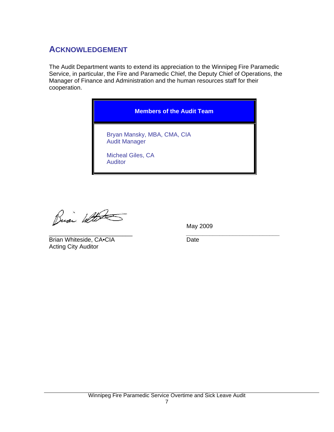## **ACKNOWLEDGEMENT**

The Audit Department wants to extend its appreciation to the Winnipeg Fire Paramedic Service, in particular, the Fire and Paramedic Chief, the Deputy Chief of Operations, the Manager of Finance and Administration and the human resources staff for their cooperation.



Busi With

May 2009

\_\_\_\_\_\_\_\_\_\_\_\_\_\_\_\_\_\_\_\_\_\_\_\_\_ *\_\_\_\_\_\_\_\_\_\_\_\_\_\_\_\_\_\_\_\_\_\_\_\_\_\_\_\_* Brian Whiteside, CA•CIA Date Acting City Auditor

Winnipeg Fire Paramedic Service Overtime and Sick Leave Audit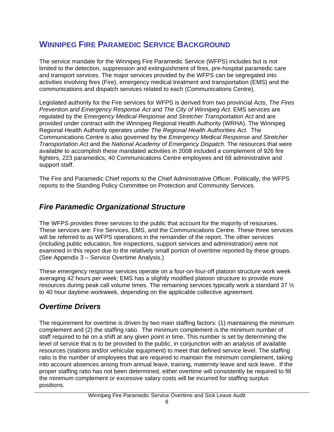## **WINNIPEG FIRE PARAMEDIC SERVICE BACKGROUND**

The service mandate for the Winnipeg Fire Paramedic Service (WFPS) includes but is not limited to the detection, suppression and extinguishment of fires, pre-hospital paramedic care and transport services. The major services provided by the WFPS can be segregated into activities involving fires (Fire), emergency medical treatment and transportation (EMS) and the communications and dispatch services related to each (Communications Centre).

Legislated authority for the Fire services for WFPS is derived from two provincial Acts, *The Fires Prevention and Emergency Response Act* and *The City of Winnipeg Act*. EMS services are regulated by the *Emergency Medical Response and Stretcher Transportation Act* and are provided under contract with the Winnipeg Regional Health Authority (WRHA). The Winnipeg Regional Health Authority operates under *The Regional Health Authorities Act*. The Communications Centre is also governed by the *Emergency Medical Response and Stretcher Transportation Act* and the *National Academy of Emergency Dispatch*. The resources that were available to accomplish these mandated activities in 2008 included a complement of 926 fire fighters, 223 paramedics, 40 Communications Centre employees and 68 administrative and support staff.

The Fire and Paramedic Chief reports to the Chief Administrative Officer. Politically, the WFPS reports to the Standing Policy Committee on Protection and Community Services.

## *Fire Paramedic Organizational Structure*

The WFPS provides three services to the public that account for the majority of resources. These services are: Fire Services, EMS, and the Communications Centre. These three services will be referred to as WFPS operations in the remainder of the report. The other services (including public education, fire inspections, support services and administration) were not examined in this report due to the relatively small portion of overtime reported by these groups. (See Appendix 3 – Service Overtime Analysis.)

These emergency response services operate on a four-on-four-off platoon structure work week averaging 42 hours per week; EMS has a slightly modified platoon structure to provide more resources during peak call volume times. The remaining services typically work a standard 37 ½ to 40 hour daytime workweek, depending on the applicable collective agreement.

## *Overtime Drivers*

The requirement for overtime is driven by two main staffing factors: (1) maintaining the minimum complement and (2) the staffing ratio. The minimum complement is the minimum number of staff required to be on a shift at any given point in time. This number is set by determining the level of service that is to be provided to the public, in conjunction with an analysis of available resources (stations and/or vehicular equipment) to meet that defined service level. The staffing ratio is the number of employees that are required to maintain the minimum complement, taking into account absences arising from annual leave, training, maternity leave and sick leave. If the proper staffing ratio has not been determined, either overtime will consistently be required to fill the minimum complement or excessive salary costs will be incurred for staffing surplus positions.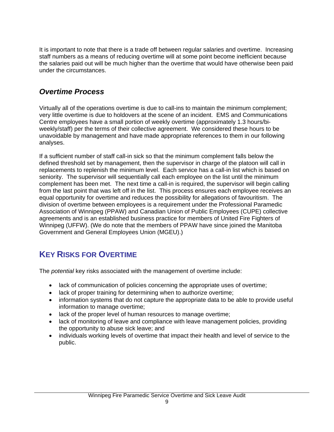It is important to note that there is a trade off between regular salaries and overtime. Increasing staff numbers as a means of reducing overtime will at some point become inefficient because the salaries paid out will be much higher than the overtime that would have otherwise been paid under the circumstances.

## *Overtime Process*

Virtually all of the operations overtime is due to call-ins to maintain the minimum complement; very little overtime is due to holdovers at the scene of an incident. EMS and Communications Centre employees have a small portion of weekly overtime (approximately 1.3 hours/biweekly/staff) per the terms of their collective agreement. We considered these hours to be unavoidable by management and have made appropriate references to them in our following analyses.

If a sufficient number of staff call-in sick so that the minimum complement falls below the defined threshold set by management, then the supervisor in charge of the platoon will call in replacements to replenish the minimum level. Each service has a call-in list which is based on seniority. The supervisor will sequentially call each employee on the list until the minimum complement has been met. The next time a call-in is required, the supervisor will begin calling from the last point that was left off in the list. This process ensures each employee receives an equal opportunity for overtime and reduces the possibility for allegations of favouritism. The division of overtime between employees is a requirement under the Professional Paramedic Association of Winnipeg (PPAW) and Canadian Union of Public Employees (CUPE) collective agreements and is an established business practice for members of United Fire Fighters of Winnipeg (UFFW). (We do note that the members of PPAW have since joined the Manitoba Government and General Employees Union (MGEU).)

## **KEY RISKS FOR OVERTIME**

The *potential* key risks associated with the management of overtime include:

- lack of communication of policies concerning the appropriate uses of overtime;
- lack of proper training for determining when to authorize overtime;
- information systems that do not capture the appropriate data to be able to provide useful information to manage overtime;
- lack of the proper level of human resources to manage overtime;
- lack of monitoring of leave and compliance with leave management policies, providing the opportunity to abuse sick leave; and
- individuals working levels of overtime that impact their health and level of service to the public.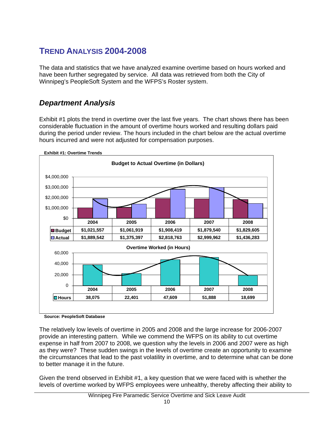## **TREND ANALYSIS 2004-2008**

The data and statistics that we have analyzed examine overtime based on hours worked and have been further segregated by service. All data was retrieved from both the City of Winnipeg's PeopleSoft System and the WFPS's Roster system.

## *Department Analysis*

Exhibit #1 plots the trend in overtime over the last five years. The chart shows there has been considerable fluctuation in the amount of overtime hours worked and resulting dollars paid during the period under review. The hours included in the chart below are the actual overtime hours incurred and were not adjusted for compensation purposes.



**Source: PeopleSoft Database** 

The relatively low levels of overtime in 2005 and 2008 and the large increase for 2006-2007 provide an interesting pattern. While we commend the WFPS on its ability to cut overtime expense in half from 2007 to 2008, we question why the levels in 2006 and 2007 were as high as they were? These sudden swings in the levels of overtime create an opportunity to examine the circumstances that lead to the past volatility in overtime, and to determine what can be done to better manage it in the future.

Given the trend observed in Exhibit #1, a key question that we were faced with is whether the levels of overtime worked by WFPS employees were unhealthy, thereby affecting their ability to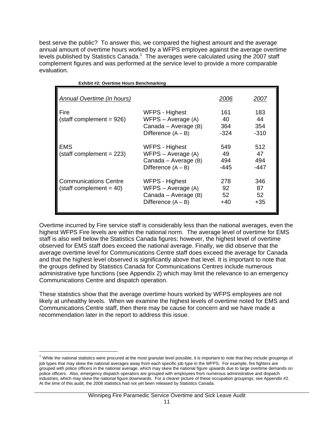best serve the public? To answer this, we compared the highest amount and the average annual amount of overtime hours worked by a WFPS employee against the average overtime levels published by Statistics Canada. $1$  The averages were calculated using the 2007 staff complement figures and was performed at the service level to provide a more comparable evaluation.

| <b>Exhibit #2: Overtime Hours Benchmarking</b>           |                                                                                      |                          |                            |
|----------------------------------------------------------|--------------------------------------------------------------------------------------|--------------------------|----------------------------|
| Annual Overtime (in hours)                               |                                                                                      | 2006                     | 2007                       |
| Fire<br>$(stat complement = 926)$                        | WFPS - Highest<br>WFPS - Average (A)<br>Canada - Average (B)<br>Difference $(A - B)$ | 161<br>40<br>364<br>-324 | 183<br>44<br>354<br>$-310$ |
| EMS<br>$(stat complement = 223)$                         | WFPS - Highest<br>WFPS - Average (A)<br>Canada – Average (B)<br>Difference $(A - B)$ | 549<br>49<br>494<br>-445 | 512<br>47<br>494<br>-447   |
| <b>Communications Centre</b><br>$(stat complement = 40)$ | WFPS - Highest<br>WFPS - Average (A)<br>Canada – Average (B)<br>Difference $(A - B)$ | 278<br>92<br>52<br>+40   | 346<br>87<br>52<br>+35     |

Overtime incurred by Fire service staff is considerably less than the national averages, even the highest WFPS Fire levels are within the national norm. The average level of overtime for EMS staff is also well below the Statistics Canada figures; however, the highest level of overtime observed for EMS staff does exceed the national average. Finally, we did observe that the average overtime level for Communications Centre staff does exceed the average for Canada and that the highest level observed is significantly above that level. It is important to note that the groups defined by Statistics Canada for Communications Centres include numerous administrative type functions (see Appendix 2) which may limit the relevance to an emergency Communications Centre and dispatch operation.

These statistics show that the average overtime hours worked by WFPS employees are not likely at unhealthy levels. When we examine the highest levels of overtime noted for EMS and Communications Centre staff, then there may be cause for concern and we have made a recommendation later in the report to address this issue.

 $\overline{a}$ 

 $1$  While the national statistics were procured at the most granular level possible, it is important to note that they include groupings of job types that may skew the national averages away from each specific job type in the WFPS. For example, fire fighters are grouped with police officers in the national average, which may skew the national figure upwards due to large overtime demands on police officers. Also, emergency dispatch operators are grouped with employees from numerous administrative and dispatch industries, which may skew the national figure downwards. For a clearer picture of these occupation groupings, see Appendix #2. At the time of this audit, the 2008 statistics had not yet been released by Statistics Canada.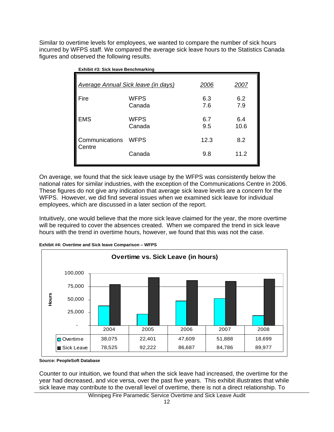Similar to overtime levels for employees, we wanted to compare the number of sick hours incurred by WFPS staff. We compared the average sick leave hours to the Statistics Canada figures and observed the following results.

| EXTING TO. OION ICATO DONOITHING NING |                                            |            |             |  |
|---------------------------------------|--------------------------------------------|------------|-------------|--|
|                                       | <b>Average Annual Sick leave (in days)</b> | 2006       | 2007        |  |
| Fire                                  | <b>WFPS</b><br>Canada                      | 6.3<br>7.6 | 6.2<br>7.9  |  |
| <b>EMS</b>                            | <b>WFPS</b><br>Canada                      | 6.7<br>9.5 | 6.4<br>10.6 |  |
| Communications<br>Centre              | <b>WFPS</b>                                | 12.3       | 8.2         |  |
|                                       | Canada                                     | 9.8        | 11.2        |  |

On average, we found that the sick leave usage by the WFPS was consistently below the national rates for similar industries, with the exception of the Communications Centre in 2006. These figures do not give any indication that average sick leave levels are a concern for the WFPS. However, we did find several issues when we examined sick leave for individual employees, which are discussed in a later section of the report.

Intuitively, one would believe that the more sick leave claimed for the year, the more overtime will be required to cover the absences created. When we compared the trend in sick leave hours with the trend in overtime hours, however, we found that this was not the case.



**Exhibit #4: Overtime and Sick leave Comparison – WFPS**

**Source: PeopleSoft Database**

Counter to our intuition, we found that when the sick leave had increased, the overtime for the year had decreased, and vice versa, over the past five years. This exhibit illustrates that while sick leave may contribute to the overall level of overtime, there is not a direct relationship. To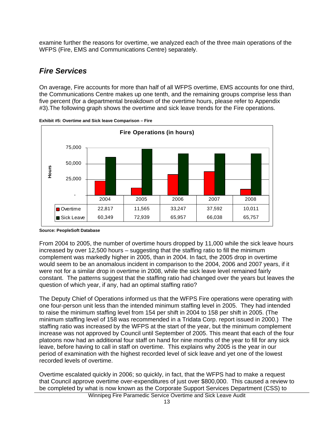examine further the reasons for overtime, we analyzed each of the three main operations of the WFPS (Fire, EMS and Communications Centre) separately.

## *Fire Services*

On average, Fire accounts for more than half of all WFPS overtime, EMS accounts for one third, the Communications Centre makes up one tenth, and the remaining groups comprise less than five percent (for a departmental breakdown of the overtime hours, please refer to Appendix #3).The following graph shows the overtime and sick leave trends for the Fire operations.





From 2004 to 2005, the number of overtime hours dropped by 11,000 while the sick leave hours increased by over 12,500 hours – suggesting that the staffing ratio to fill the minimum complement was markedly higher in 2005, than in 2004. In fact, the 2005 drop in overtime would seem to be an anomalous incident in comparison to the 2004, 2006 and 2007 years, if it were not for a similar drop in overtime in 2008, while the sick leave level remained fairly constant. The patterns suggest that the staffing ratio had changed over the years but leaves the question of which year, if any, had an optimal staffing ratio?

The Deputy Chief of Operations informed us that the WFPS Fire operations were operating with one four-person unit less than the intended minimum staffing level in 2005. They had intended to raise the minimum staffing level from 154 per shift in 2004 to 158 per shift in 2005. (The minimum staffing level of 158 was recommended in a Tridata Corp. report issued in 2000.) The staffing ratio was increased by the WFPS at the start of the year, but the minimum complement increase was not approved by Council until September of 2005. This meant that each of the four platoons now had an additional four staff on hand for nine months of the year to fill for any sick leave, before having to call in staff on overtime. This explains why 2005 is the year in our period of examination with the highest recorded level of sick leave and yet one of the lowest recorded levels of overtime.

Overtime escalated quickly in 2006; so quickly, in fact, that the WFPS had to make a request that Council approve overtime over-expenditures of just over \$800,000. This caused a review to be completed by what is now known as the Corporate Support Services Department (CSS) to

**Source: PeopleSoft Database**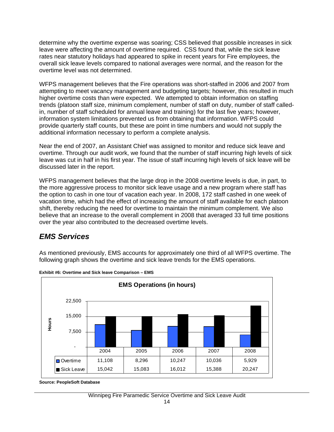determine why the overtime expense was soaring; CSS believed that possible increases in sick leave were affecting the amount of overtime required. CSS found that, while the sick leave rates near statutory holidays had appeared to spike in recent years for Fire employees, the overall sick leave levels compared to national averages were normal, and the reason for the overtime level was not determined.

WFPS management believes that the Fire operations was short-staffed in 2006 and 2007 from attempting to meet vacancy management and budgeting targets; however, this resulted in much higher overtime costs than were expected. We attempted to obtain information on staffing trends (platoon staff size, minimum complement, number of staff on duty, number of staff calledin, number of staff scheduled for annual leave and training) for the last five years; however, information system limitations prevented us from obtaining that information. WFPS could provide quarterly staff counts, but these are point in time numbers and would not supply the additional information necessary to perform a complete analysis.

Near the end of 2007, an Assistant Chief was assigned to monitor and reduce sick leave and overtime. Through our audit work, we found that the number of staff incurring high levels of sick leave was cut in half in his first year. The issue of staff incurring high levels of sick leave will be discussed later in the report.

WFPS management believes that the large drop in the 2008 overtime levels is due, in part, to the more aggressive process to monitor sick leave usage and a new program where staff has the option to cash in one tour of vacation each year. In 2008, 172 staff cashed in one week of vacation time, which had the effect of increasing the amount of staff available for each platoon shift, thereby reducing the need for overtime to maintain the minimum complement. We also believe that an increase to the overall complement in 2008 that averaged 33 full time positions over the year also contributed to the decreased overtime levels.

## *EMS Services*

As mentioned previously, EMS accounts for approximately one third of all WFPS overtime. The following graph shows the overtime and sick leave trends for the EMS operations.



**Exhibit #6: Overtime and Sick leave Comparison – EMS**

**Source: PeopleSoft Database**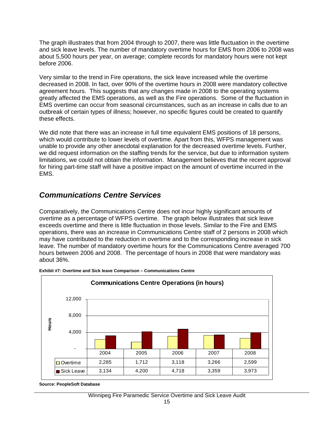The graph illustrates that from 2004 through to 2007, there was little fluctuation in the overtime and sick leave levels. The number of mandatory overtime hours for EMS from 2006 to 2008 was about 5,500 hours per year, on average; complete records for mandatory hours were not kept before 2006.

Very similar to the trend in Fire operations, the sick leave increased while the overtime decreased in 2008. In fact, over 90% of the overtime hours in 2008 were mandatory collective agreement hours. This suggests that any changes made in 2008 to the operating systems greatly affected the EMS operations, as well as the Fire operations. Some of the fluctuation in EMS overtime can occur from seasonal circumstances, such as an increase in calls due to an outbreak of certain types of illness; however, no specific figures could be created to quantify these effects.

We did note that there was an increase in full time equivalent EMS positions of 18 persons, which would contribute to lower levels of overtime. Apart from this, WFPS management was unable to provide any other anecdotal explanation for the decreased overtime levels. Further, we did request information on the staffing trends for the service, but due to information system limitations, we could not obtain the information. Management believes that the recent approval for hiring part-time staff will have a positive impact on the amount of overtime incurred in the EMS.

## *Communications Centre Services*

Comparatively, the Communications Centre does not incur highly significant amounts of overtime as a percentage of WFPS overtime. The graph below illustrates that sick leave exceeds overtime and there is little fluctuation in those levels. Similar to the Fire and EMS operations, there was an increase in Communications Centre staff of 2 persons in 2008 which may have contributed to the reduction in overtime and to the corresponding increase in sick leave. The number of mandatory overtime hours for the Communications Centre averaged 700 hours between 2006 and 2008. The percentage of hours in 2008 that were mandatory was about 36%.



**Exhibit #7: Overtime and Sick leave Comparison – Communications Centre**

**Source: PeopleSoft Database**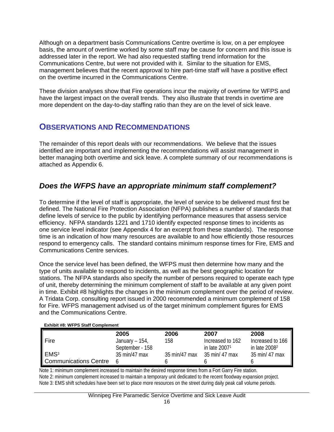Although on a department basis Communications Centre overtime is low, on a per employee basis, the amount of overtime worked by some staff may be cause for concern and this issue is addressed later in the report. We had also requested staffing trend information for the Communications Centre, but were not provided with it. Similar to the situation for EMS, management believes that the recent approval to hire part-time staff will have a positive effect on the overtime incurred in the Communications Centre.

These division analyses show that Fire operations incur the majority of overtime for WFPS and have the largest impact on the overall trends. They also illustrate that trends in overtime are more dependent on the day-to-day staffing ratio than they are on the level of sick leave.

## **OBSERVATIONS AND RECOMMENDATIONS**

The remainder of this report deals with our recommendations. We believe that the issues identified are important and implementing the recommendations will assist management in better managing both overtime and sick leave. A complete summary of our recommendations is attached as Appendix 6.

### *Does the WFPS have an appropriate minimum staff complement?*

To determine if the level of staff is appropriate, the level of service to be delivered must first be defined. The National Fire Protection Association (NFPA) publishes a number of standards that define levels of service to the public by identifying performance measures that assess service efficiency. NFPA standards 1221 and 1710 identify expected response times to incidents as one service level indicator (see Appendix 4 for an excerpt from these standards). The response time is an indication of how many resources are available to and how efficiently those resources respond to emergency calls. The standard contains minimum response times for Fire, EMS and Communications Centre services.

Once the service level has been defined, the WFPS must then determine how many and the type of units available to respond to incidents, as well as the best geographic location for stations. The NFPA standards also specify the number of persons required to operate each type of unit, thereby determining the minimum complement of staff to be available at any given point in time. Exhibit #8 highlights the changes in the minimum complement over the period of review. A Tridata Corp. consulting report issued in 2000 recommended a minimum complement of 158 for Fire. WFPS management advised us of the target minimum complement figures for EMS and the Communications Centre.

| <b>Exhibit #8: WFPS Staff Complement</b> |                   |               |                  |                  |
|------------------------------------------|-------------------|---------------|------------------|------------------|
|                                          | 2005              | 2006          | 2007             | 2008             |
| Fire                                     | January – $154$ , | 158           | Increased to 162 | Increased to 166 |
|                                          | September - 158   |               | in late $20071$  | in late $20082$  |
| EMS <sup>3</sup>                         | 35 min/47 max     | 35 min/47 max | 35 min/ 47 max   | 35 min/ 47 max   |
| Communications Centre                    |                   |               |                  |                  |

Note 1: minimum complement increased to maintain the desired response times from a Fort Garry Fire station. Note 2: minimum complement increased to maintain a temporary unit dedicated to the recent floodway expansion project. Note 3: EMS shift schedules have been set to place more resources on the street during daily peak call volume periods.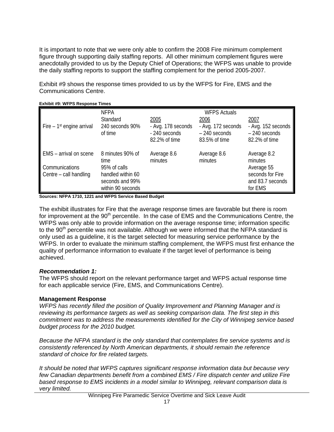It is important to note that we were only able to confirm the 2008 Fire minimum complement figure through supporting daily staffing reports. All other minimum complement figures were anecdotally provided to us by the Deputy Chief of Operations; the WFPS was unable to provide the daily staffing reports to support the staffing complement for the period 2005-2007.

Exhibit #9 shows the response times provided to us by the WFPS for Fire, EMS and the Communications Centre.

|                                        | <b>NFPA</b>       | <b>WFPS Actuals</b> |                    |                    |
|----------------------------------------|-------------------|---------------------|--------------------|--------------------|
|                                        | Standard          | 2005                | 2006               | 2007               |
| Fire $-1$ <sup>st</sup> engine arrival | 240 seconds 90%   | - Avg. 178 seconds  | - Avg. 172 seconds | - Avg. 152 seconds |
|                                        | of time           | - 240 seconds       | $-240$ seconds     | $-240$ seconds     |
|                                        |                   | 82.2% of time       | 83.5% of time      | 82.2% of time      |
|                                        |                   |                     |                    |                    |
| EMS - arrival on scene                 | 8 minutes 90% of  | Average 8.6         | Average 8.6        | Average 8.2        |
|                                        | time              | minutes             | minutes            | minutes            |
| Communications                         | 95% of calls      |                     |                    | Average 55         |
| Centre - call handling                 | handled within 60 |                     |                    | seconds for Fire   |
|                                        | seconds and 99%   |                     |                    | and 83.7 seconds   |
|                                        | within 90 seconds |                     |                    | for EMS            |

#### **Exhibit #9: WFPS Response Times**

**Sources: NFPA 1710, 1221 and WFPS Service Based Budget** 

The exhibit illustrates for Fire that the average response times are favorable but there is room for improvement at the 90<sup>th</sup> percentile. In the case of EMS and the Communications Centre, the WFPS was only able to provide information on the average response time; information specific to the 90<sup>th</sup> percentile was not available. Although we were informed that the NFPA standard is only used as a guideline, it is the target selected for measuring service performance by the WFPS. In order to evaluate the minimum staffing complement, the WFPS must first enhance the quality of performance information to evaluate if the target level of performance is being achieved.

#### *Recommendation 1:*

The WFPS should report on the relevant performance target and WFPS actual response time for each applicable service (Fire, EMS, and Communications Centre).

#### **Management Response**

*WFPS has recently filled the position of Quality Improvement and Planning Manager and is reviewing its performance targets as well as seeking comparison data. The first step in this commitment was to address the measurements identified for the City of Winnipeg service based budget process for the 2010 budget.* 

*Because the NFPA standard is the only standard that contemplates fire service systems and is consistently referenced by North American departments, it should remain the reference standard of choice for fire related targets.* 

*It should be noted that WFPS captures significant response information data but because very few Canadian departments benefit from a combined EMS / Fire dispatch center and utilize Fire based response to EMS incidents in a model similar to Winnipeg, relevant comparison data is very limited.*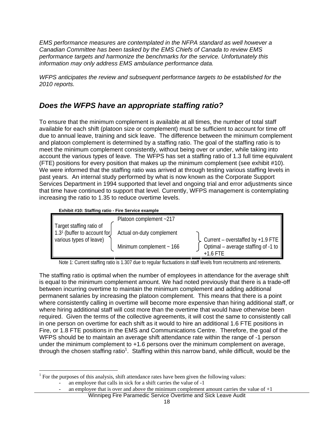*EMS performance measures are contemplated in the NFPA standard as well however a Canadian Committee has been tasked by the EMS Chiefs of Canada to review EMS performance targets and harmonize the benchmarks for the service. Unfortunately this information may only address EMS ambulance performance data.* 

*WFPS anticipates the review and subsequent performance targets to be established for the 2010 reports.* 

## *Does the WFPS have an appropriate staffing ratio?*

To ensure that the minimum complement is available at all times, the number of total staff available for each shift (platoon size or complement) must be sufficient to account for time off due to annual leave, training and sick leave. The difference between the minimum complement and platoon complement is determined by a staffing ratio. The goal of the staffing ratio is to meet the minimum complement consistently, without being over or under, while taking into account the various types of leave. The WFPS has set a staffing ratio of 1.3 full time equivalent (FTE) positions for every position that makes up the minimum complement (see exhibit #10). We were informed that the staffing ratio was arrived at through testing various staffing levels in past years. An internal study performed by what is now known as the Corporate Support Services Department in 1994 supported that level and ongoing trial and error adjustments since that time have continued to support that level. Currently, WFPS management is contemplating increasing the ratio to 1.35 to reduce overtime levels.





Note 1: Current staffing ratio is 1.307 due to regular fluctuations in staff levels from recruitments and retirements.

The staffing ratio is optimal when the number of employees in attendance for the average shift is equal to the minimum complement amount. We had noted previously that there is a trade-off between incurring overtime to maintain the minimum complement and adding additional permanent salaries by increasing the platoon complement. This means that there is a point where consistently calling in overtime will become more expensive than hiring additional staff, or where hiring additional staff will cost more than the overtime that would have otherwise been required. Given the terms of the collective agreements, it will cost the same to consistently call in one person on overtime for each shift as it would to hire an additional 1.6 FTE positions in Fire, or 1.8 FTE positions in the EMS and Communications Centre. Therefore, the goal of the WFPS should be to maintain an average shift attendance rate within the range of -1 person under the minimum complement to +1.6 persons over the minimum complement on average, through the chosen staffing ratio<sup>1</sup>. Staffing within this narrow band, while difficult, would be the

 $\overline{a}$ <sup>1</sup> For the purposes of this analysis, shift attendance rates have been given the following values:

an employee that calls in sick for a shift carries the value of  $-1$ 

Winnipeg Fire Paramedic Service Overtime and Sick Leave Audit an employee that is over and above the minimum complement amount carries the value of  $+1$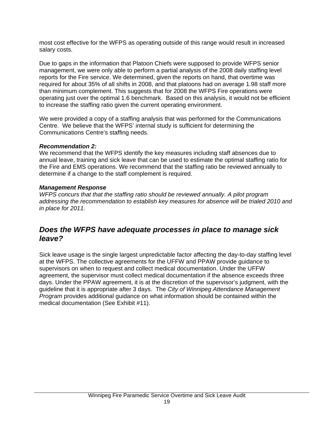most cost effective for the WFPS as operating outside of this range would result in increased salary costs.

Due to gaps in the information that Platoon Chiefs were supposed to provide WFPS senior management, we were only able to perform a partial analysis of the 2008 daily staffing level reports for the Fire service. We determined, given the reports on hand, that overtime was required for about 35% of all shifts in 2008, and that platoons had on average 1.98 staff more than minimum complement. This suggests that for 2008 the WFPS Fire operations were operating just over the optimal 1.6 benchmark. Based on this analysis, it would not be efficient to increase the staffing ratio given the current operating environment.

We were provided a copy of a staffing analysis that was performed for the Communications Centre. We believe that the WFPS' internal study is sufficient for determining the Communications Centre's staffing needs.

#### *Recommendation 2:*

We recommend that the WFPS identify the key measures including staff absences due to annual leave, training and sick leave that can be used to estimate the optimal staffing ratio for the Fire and EMS operations. We recommend that the staffing ratio be reviewed annually to determine if a change to the staff complement is required.

#### *Management Response*

*WFPS concurs that that the staffing ratio should be reviewed annually. A pilot program addressing the recommendation to establish key measures for absence will be trialed 2010 and in place for 2011.* 

### *Does the WFPS have adequate processes in place to manage sick leave?*

Sick leave usage is the single largest unpredictable factor affecting the day-to-day staffing level at the WFPS. The collective agreements for the UFFW and PPAW provide guidance to supervisors on when to request and collect medical documentation. Under the UFFW agreement, the supervisor must collect medical documentation if the absence exceeds three days. Under the PPAW agreement, it is at the discretion of the supervisor's judgment, with the guideline that it is appropriate after 3 days. The *City of Winnipeg Attendance Management Program* provides additional guidance on what information should be contained within the medical documentation (See Exhibit #11).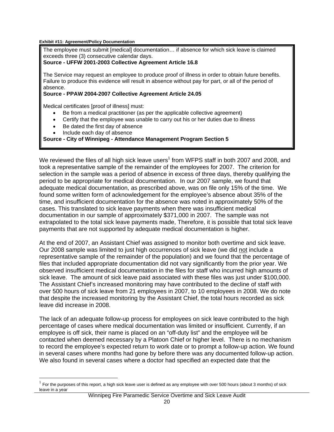**Exhibit #11: Agreement/Policy Documentation** 

The employee must submit [medical] documentation… if absence for which sick leave is claimed exceeds three (3) consecutive calendar days.

#### **Source - UFFW 2001-2003 Collective Agreement Article 16.8**

The Service may request an employee to produce proof of illness in order to obtain future benefits. Failure to produce this evidence will result in absence without pay for part, or all of the period of absence.

#### **Source - PPAW 2004-2007 Collective Agreement Article 24.05**

Medical certificates [proof of illness] must:

- Be from a medical practitioner (as per the applicable collective agreement)
- Certify that the employee was unable to carry out his or her duties due to illness
- Be dated the first day of absence
- Include each day of absence

 $\overline{a}$ 

#### **Source - City of Winnipeg - Attendance Management Program Section 5**

We reviewed the files of all high sick leave users<sup>1</sup> from WFPS staff in both 2007 and 2008, and took a representative sample of the remainder of the employees for 2007. The criterion for selection in the sample was a period of absence in excess of three days, thereby qualifying the period to be appropriate for medical documentation. In our 2007 sample, we found that adequate medical documentation, as prescribed above, was on file only 15% of the time. We found some written form of acknowledgement for the employee's absence about 35% of the time, and insufficient documentation for the absence was noted in approximately 50% of the cases. This translated to sick leave payments when there was insufficient medical documentation in our sample of approximately \$371,000 in 2007. The sample was not extrapolated to the total sick leave payments made, Therefore, it is possible that total sick leave payments that are not supported by adequate medical documentation is higher.

At the end of 2007, an Assistant Chief was assigned to monitor both overtime and sick leave. Our 2008 sample was limited to just high occurrences of sick leave (we did not include a representative sample of the remainder of the population) and we found that the percentage of files that included appropriate documentation did not vary significantly from the prior year. We observed insufficient medical documentation in the files for staff who incurred high amounts of sick leave. The amount of sick leave paid associated with these files was just under \$100,000. The Assistant Chief's increased monitoring may have contributed to the decline of staff with over 500 hours of sick leave from 21 employees in 2007, to 10 employees in 2008. We do note that despite the increased monitoring by the Assistant Chief, the total hours recorded as sick leave did increase in 2008.

The lack of an adequate follow-up process for employees on sick leave contributed to the high percentage of cases where medical documentation was limited or insufficient. Currently, if an employee is off sick, their name is placed on an "off-duty list" and the employee will be contacted when deemed necessary by a Platoon Chief or higher level. There is no mechanism to record the employee's expected return to work date or to prompt a follow-up action. We found in several cases where months had gone by before there was any documented follow-up action. We also found in several cases where a doctor had specified an expected date that the

 $1$  For the purposes of this report, a high sick leave user is defined as any employee with over 500 hours (about 3 months) of sick leave in a year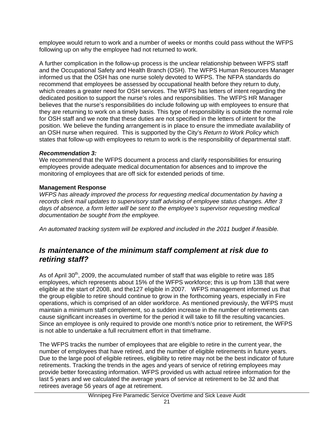employee would return to work and a number of weeks or months could pass without the WFPS following up on why the employee had not returned to work.

A further complication in the follow-up process is the unclear relationship between WFPS staff and the Occupational Safety and Health Branch (OSH). The WFPS Human Resources Manager informed us that the OSH has one nurse solely devoted to WFPS. The NFPA standards do recommend that employees be assessed by occupational health before they return to duty, which creates a greater need for OSH services. The WFPS has letters of intent regarding the dedicated position to support the nurse's roles and responsibilities. The WFPS HR Manager believes that the nurse's responsibilities do include following up with employees to ensure that they are returning to work on a timely basis. This type of responsibility is outside the normal role for OSH staff and we note that these duties are not specified in the letters of intent for the position. We believe the funding arrangement is in place to ensure the immediate availability of an OSH nurse when required. This is supported by the City's *Return to Work Policy* which states that follow-up with employees to return to work is the responsibility of departmental staff.

#### *Recommendation 3:*

We recommend that the WFPS document a process and clarify responsibilities for ensuring employees provide adequate medical documentation for absences and to improve the monitoring of employees that are off sick for extended periods of time.

#### **Management Response**

*WFPS has already improved the process for requesting medical documentation by having a records clerk mail updates to supervisory staff advising of employee status changes. After 3 days of absence, a form letter will be sent to the employee's supervisor requesting medical documentation be sought from the employee.* 

*An automated tracking system will be explored and included in the 2011 budget if feasible.* 

### *Is maintenance of the minimum staff complement at risk due to retiring staff?*

As of April  $30<sup>th</sup>$ , 2009, the accumulated number of staff that was eligible to retire was 185 employees, which represents about 15% of the WFPS workforce; this is up from 138 that were eligible at the start of 2008, and the127 eligible in 2007. WFPS management informed us that the group eligible to retire should continue to grow in the forthcoming years, especially in Fire operations, which is comprised of an older workforce. As mentioned previously, the WFPS must maintain a minimum staff complement, so a sudden increase in the number of retirements can cause significant increases in overtime for the period it will take to fill the resulting vacancies. Since an employee is only required to provide one month's notice prior to retirement, the WFPS is not able to undertake a full recruitment effort in that timeframe.

The WFPS tracks the number of employees that are eligible to retire in the current year, the number of employees that have retired, and the number of eligible retirements in future years. Due to the large pool of eligible retirees, eligibility to retire may not be the best indicator of future retirements. Tracking the trends in the ages and years of service of retiring employees may provide better forecasting information. WFPS provided us with actual retiree information for the last 5 years and we calculated the average years of service at retirement to be 32 and that retirees average 56 years of age at retirement.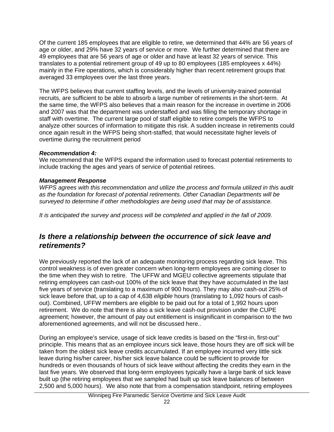Of the current 185 employees that are eligible to retire, we determined that 44% are 56 years of age or older, and 29% have 32 years of service or more. We further determined that there are 49 employees that are 56 years of age or older and have at least 32 years of service. This translates to a potential retirement group of 49 up to 80 employees (185 employees x 44%) mainly in the Fire operations, which is considerably higher than recent retirement groups that averaged 33 employees over the last three years.

The WFPS believes that current staffing levels, and the levels of university-trained potential recruits, are sufficient to be able to absorb a large number of retirements in the short-term. At the same time, the WFPS also believes that a main reason for the increase in overtime in 2006 and 2007 was that the department was understaffed and was filling the temporary shortage in staff with overtime. The current large pool of staff eligible to retire compels the WFPS to analyze other sources of information to mitigate this risk. A sudden increase in retirements could once again result in the WFPS being short-staffed, that would necessitate higher levels of overtime during the recruitment period

#### *Recommendation 4:*

We recommend that the WFPS expand the information used to forecast potential retirements to include tracking the ages and years of service of potential retirees.

#### *Management Response*

*WFPS agrees with this recommendation and utilize the process and formula utilized in this audit as the foundation for forecast of potential retirements. Other Canadian Departments will be surveyed to determine if other methodologies are being used that may be of assistance.* 

*It is anticipated the survey and process will be completed and applied in the fall of 2009.* 

### *Is there a relationship between the occurrence of sick leave and retirements?*

We previously reported the lack of an adequate monitoring process regarding sick leave. This control weakness is of even greater concern when long-term employees are coming closer to the time when they wish to retire. The UFFW and MGEU collective agreements stipulate that retiring employees can cash-out 100% of the sick leave that they have accumulated in the last five years of service (translating to a maximum of 900 hours). They may also cash-out 25% of sick leave before that, up to a cap of 4,638 *eligible* hours (translating to 1,092 hours of cashout). Combined, UFFW members are eligible to be paid out for a total of 1,992 hours upon retirement. We do note that there is also a sick leave cash-out provision under the CUPE agreement; however, the amount of pay out entitlement is insignificant in comparison to the two aforementioned agreements, and will not be discussed here..

During an employee's service, usage of sick leave credits is based on the "first-in, first-out" principle. This means that as an employee incurs sick leave, those hours they are off sick will be taken from the oldest sick leave credits accumulated. If an employee incurred very little sick leave during his/her career, his/her sick leave balance could be sufficient to provide for hundreds or even thousands of hours of sick leave without affecting the credits they earn in the last five years. We observed that long-term employees typically have a large bank of sick leave built up (the retiring employees that we sampled had built up sick leave balances of between 2,500 and 5,000 hours). We also note that from a compensation standpoint, retiring employees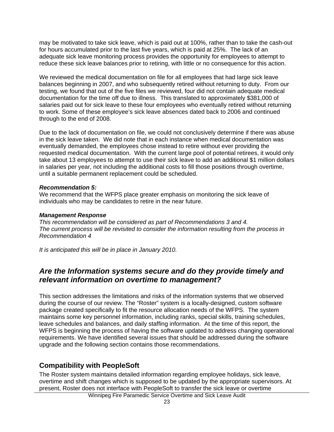may be motivated to take sick leave, which is paid out at 100%, rather than to take the cash-out for hours accumulated prior to the last five years, which is paid at 25%. The lack of an adequate sick leave monitoring process provides the opportunity for employees to attempt to reduce these sick leave balances prior to retiring, with little or no consequence for this action.

We reviewed the medical documentation on file for all employees that had large sick leave balances beginning in 2007, and who subsequently retired without returning to duty. From our testing, we found that out of the five files we reviewed, four did not contain adequate medical documentation for the time off due to illness. This translated to approximately \$381,000 of salaries paid out for sick leave to these four employees who eventually retired without returning to work. Some of these employee's sick leave absences dated back to 2006 and continued through to the end of 2008.

Due to the lack of documentation on file, we could not conclusively determine if there was abuse in the sick leave taken. We did note that in each instance when medical documentation was eventually demanded, the employees chose instead to retire without ever providing the requested medical documentation. With the current large pool of potential retirees, it would only take about 13 employees to attempt to use their sick leave to add an additional \$1 million dollars in salaries per year, not including the additional costs to fill those positions through overtime, until a suitable permanent replacement could be scheduled.

#### *Recommendation 5:*

We recommend that the WFPS place greater emphasis on monitoring the sick leave of individuals who may be candidates to retire in the near future.

#### *Management Response*

*This recommendation will be considered as part of Recommendations 3 and 4. The current process will be revisited to consider the information resulting from the process in Recommendation 4* 

*It is anticipated this will be in place in January 2010.* 

### *Are the Information systems secure and do they provide timely and relevant information on overtime to management?*

This section addresses the limitations and risks of the information systems that we observed during the course of our review. The "Roster" system is a locally-designed, custom software package created specifically to fit the resource allocation needs of the WFPS. The system maintains some key personnel information, including ranks, special skills, training schedules, leave schedules and balances, and daily staffing information. At the time of this report, the WFPS is beginning the process of having the software updated to address changing operational requirements. We have identified several issues that should be addressed during the software upgrade and the following section contains those recommendations.

### **Compatibility with PeopleSoft**

The Roster system maintains detailed information regarding employee holidays, sick leave, overtime and shift changes which is supposed to be updated by the appropriate supervisors. At present, Roster does not interface with PeopleSoft to transfer the sick leave or overtime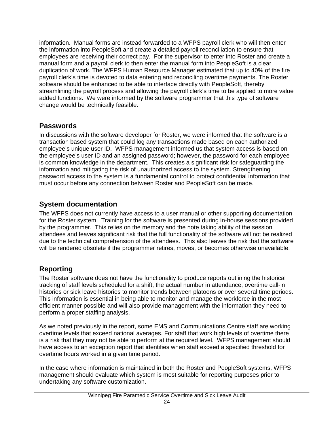information. Manual forms are instead forwarded to a WFPS payroll clerk who will then enter the information into PeopleSoft and create a detailed payroll reconciliation to ensure that employees are receiving their correct pay. For the supervisor to enter into Roster and create a manual form and a payroll clerk to then enter the manual form into PeopleSoft is a clear duplication of work. The WFPS Human Resource Manager estimated that up to 40% of the fire payroll clerk's time is devoted to data entering and reconciling overtime payments. The Roster software should be enhanced to be able to interface directly with PeopleSoft, thereby streamlining the payroll process and allowing the payroll clerk's time to be applied to more value added functions. We were informed by the software programmer that this type of software change would be technically feasible.

### **Passwords**

In discussions with the software developer for Roster, we were informed that the software is a transaction based system that could log any transactions made based on each authorized employee's unique user ID. WFPS management informed us that system access is based on the employee's user ID and an assigned password; however, the password for each employee is common knowledge in the department. This creates a significant risk for safeguarding the information and mitigating the risk of unauthorized access to the system. Strengthening password access to the system is a fundamental control to protect confidential information that must occur before any connection between Roster and PeopleSoft can be made.

### **System documentation**

The WFPS does not currently have access to a user manual or other supporting documentation for the Roster system. Training for the software is presented during in-house sessions provided by the programmer. This relies on the memory and the note taking ability of the session attendees and leaves significant risk that the full functionality of the software will not be realized due to the technical comprehension of the attendees. This also leaves the risk that the software will be rendered obsolete if the programmer retires, moves, or becomes otherwise unavailable.

## **Reporting**

The Roster software does not have the functionality to produce reports outlining the historical tracking of staff levels scheduled for a shift, the actual number in attendance, overtime call-in histories or sick leave histories to monitor trends between platoons or over several time periods. This information is essential in being able to monitor and manage the workforce in the most efficient manner possible and will also provide management with the information they need to perform a proper staffing analysis.

As we noted previously in the report, some EMS and Communications Centre staff are working overtime levels that exceed national averages. For staff that work high levels of overtime there is a risk that they may not be able to perform at the required level. WFPS management should have access to an exception report that identifies when staff exceed a specified threshold for overtime hours worked in a given time period.

In the case where information is maintained in both the Roster and PeopleSoft systems, WFPS management should evaluate which system is most suitable for reporting purposes prior to undertaking any software customization.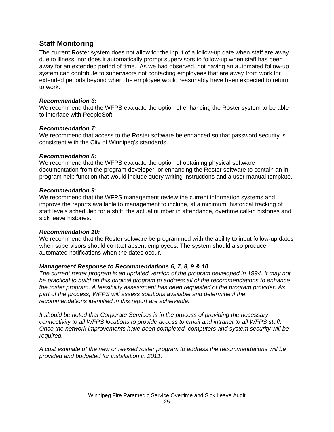### **Staff Monitoring**

The current Roster system does not allow for the input of a follow-up date when staff are away due to illness, nor does it automatically prompt supervisors to follow-up when staff has been away for an extended period of time. As we had observed, not having an automated follow-up system can contribute to supervisors not contacting employees that are away from work for extended periods beyond when the employee would reasonably have been expected to return to work.

#### *Recommendation 6:*

We recommend that the WFPS evaluate the option of enhancing the Roster system to be able to interface with PeopleSoft.

#### *Recommendation 7:*

We recommend that access to the Roster software be enhanced so that password security is consistent with the City of Winnipeg's standards.

#### *Recommendation 8:*

We recommend that the WFPS evaluate the option of obtaining physical software documentation from the program developer, or enhancing the Roster software to contain an inprogram help function that would include query writing instructions and a user manual template.

#### *Recommendation 9:*

We recommend that the WFPS management review the current information systems and improve the reports available to management to include, at a minimum, historical tracking of staff levels scheduled for a shift, the actual number in attendance, overtime call-in histories and sick leave histories.

### *Recommendation 10:*

We recommend that the Roster software be programmed with the ability to input follow-up dates when supervisors should contact absent employees. The system should also produce automated notifications when the dates occur.

### *Management Response to Recommendations 6, 7, 8, 9 & 10*

*The current roster program is an updated version of the program developed in 1994. It may not be practical to build on this original program to address all of the recommendations to enhance the roster program. A feasibility assessment has been requested of the program provider. As part of the process, WFPS will assess solutions available and determine if the recommendations identified in this report are achievable.* 

*It should be noted that Corporate Services is in the process of providing the necessary connectivity to all WFPS locations to provide access to email and intranet to all WFPS staff. Once the network improvements have been completed, computers and system security will be required.* 

*A cost estimate of the new or revised roster program to address the recommendations will be provided and budgeted for installation in 2011.*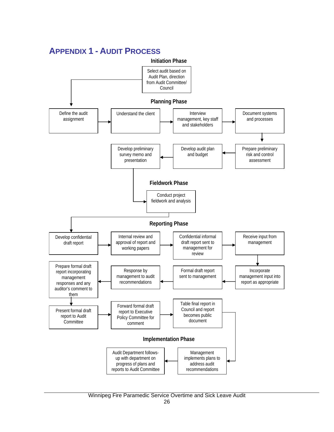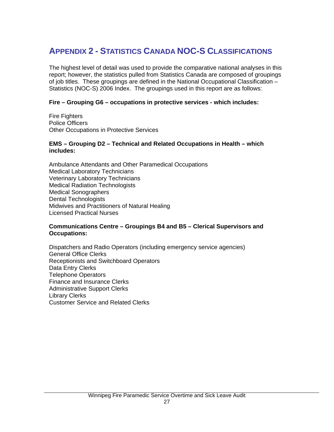## **APPENDIX 2 - STATISTICS CANADA NOC-S CLASSIFICATIONS**

The highest level of detail was used to provide the comparative national analyses in this report; however, the statistics pulled from Statistics Canada are composed of groupings of job titles. These groupings are defined in the National Occupational Classification – Statistics (NOC-S) 2006 Index. The groupings used in this report are as follows:

#### **Fire – Grouping G6 – occupations in protective services - which includes:**

Fire Fighters Police Officers Other Occupations in Protective Services

#### **EMS – Grouping D2 – Technical and Related Occupations in Health – which includes:**

Ambulance Attendants and Other Paramedical Occupations Medical Laboratory Technicians Veterinary Laboratory Technicians Medical Radiation Technologists Medical Sonographers Dental Technologists Midwives and Practitioners of Natural Healing Licensed Practical Nurses

#### **Communications Centre – Groupings B4 and B5 – Clerical Supervisors and Occupations:**

Dispatchers and Radio Operators (including emergency service agencies) General Office Clerks Receptionists and Switchboard Operators Data Entry Clerks Telephone Operators Finance and Insurance Clerks Administrative Support Clerks Library Clerks Customer Service and Related Clerks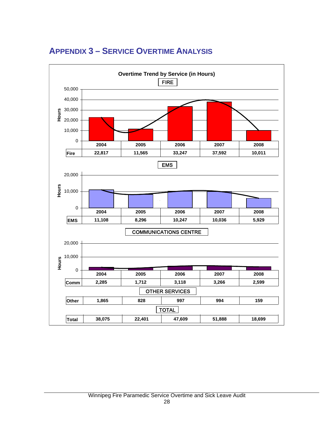

## **APPENDIX 3 – SERVICE OVERTIME ANALYSIS**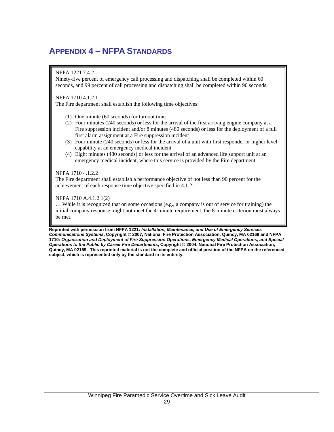## **APPENDIX 4 – NFPA STANDARDS**

#### NFPA 1221 7.4.2

Ninety-five percent of emergency call processing and dispatching shall be completed within 60 seconds, and 99 percent of call processing and dispatching shall be completed within 90 seconds.

#### NFPA 1710 4.1.2.1

The Fire department shall establish the following time objectives:

- (1) One minute (60 seconds) for turnout time
- (2) Four minutes (240 seconds) or less for the arrival of the first arriving engine company at a Fire suppression incident and/or 8 minutes (480 seconds) or less for the deployment of a full first alarm assignment at a Fire suppression incident
- (3) Four minute (240 seconds) or less for the arrival of a unit with first responder or higher level capability at an emergency medical incident
- (4) Eight minutes (480 seconds) or less for the arrival of an advanced life support unit at an emergency medical incident, where this service is provided by the Fire department

#### NFPA 1710 4.1.2.2

The Fire department shall establish a performance objective of not less than 90 percent for the achievement of each response time objective specified in 4.1.2.1

#### NFPA 1710 A.4.1.2.1(2)

… While it is recognized that on some occasions (e.g., a company is out of service for training) the initial company response might not meet the 4-minute requirement, the 8-minute criterion must always be met.

**Reprinted with permission from NFPA 1221:** *Installation, Maintenance, and Use of Emergency Services Communications Systems***, Copyright © 2007, National Fire Protection Association, Quincy, MA 02169 and NFPA 1710:** *Organization and Deployment of Fire Suppression Operations, Emergency Medical Operations, and Special Operations to the Public by Career Fire Departments***, Copyright © 2004, National Fire Protection Association, Quincy, MA 02169. This reprinted material is not the complete and official position of the NFPA on the referenced subject, which is represented only by the standard in its entirety.**